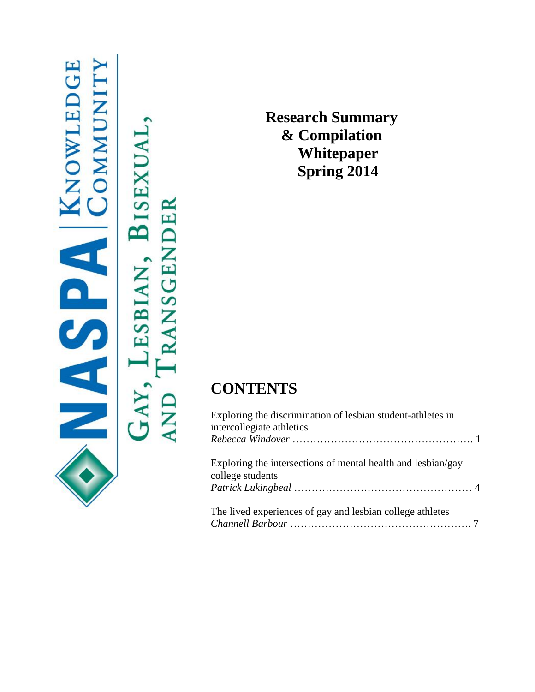| <b>ANOWLEDGE</b><br><b>CMMUNITY</b><br>C | ļ<br><b>BISEXUAI</b><br><b>LESBIAN</b><br>GAY | <b>TRANSGENDER</b><br>$_{\rm AND}$ |
|------------------------------------------|-----------------------------------------------|------------------------------------|
|                                          |                                               |                                    |

**Research Summary & Compilation Whitepaper Spring 2014**

# **CONTENTS**

| Exploring the discrimination of lesbian student-athletes in<br>intercollegiate athletics |  |
|------------------------------------------------------------------------------------------|--|
| Exploring the intersections of mental health and lesbian/gay<br>college students         |  |
| The lived experiences of gay and lesbian college athletes                                |  |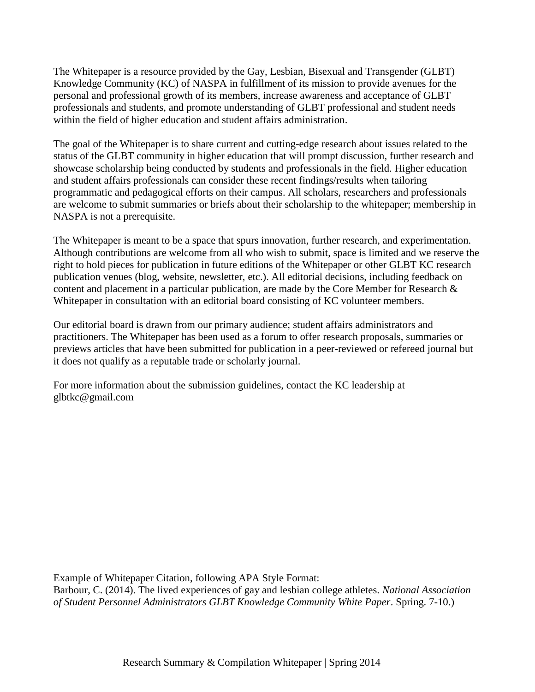The Whitepaper is a resource provided by the Gay, Lesbian, Bisexual and Transgender (GLBT) Knowledge Community (KC) of NASPA in fulfillment of its mission to provide avenues for the personal and professional growth of its members, increase awareness and acceptance of GLBT professionals and students, and promote understanding of GLBT professional and student needs within the field of higher education and student affairs administration.

The goal of the Whitepaper is to share current and cutting-edge research about issues related to the status of the GLBT community in higher education that will prompt discussion, further research and showcase scholarship being conducted by students and professionals in the field. Higher education and student affairs professionals can consider these recent findings/results when tailoring programmatic and pedagogical efforts on their campus. All scholars, researchers and professionals are welcome to submit summaries or briefs about their scholarship to the whitepaper; membership in NASPA is not a prerequisite.

The Whitepaper is meant to be a space that spurs innovation, further research, and experimentation. Although contributions are welcome from all who wish to submit, space is limited and we reserve the right to hold pieces for publication in future editions of the Whitepaper or other GLBT KC research publication venues (blog, website, newsletter, etc.). All editorial decisions, including feedback on content and placement in a particular publication, are made by the Core Member for Research & Whitepaper in consultation with an editorial board consisting of KC volunteer members.

Our editorial board is drawn from our primary audience; student affairs administrators and practitioners. The Whitepaper has been used as a forum to offer research proposals, summaries or previews articles that have been submitted for publication in a peer-reviewed or refereed journal but it does not qualify as a reputable trade or scholarly journal.

For more information about the submission guidelines, contact the KC leadership at glbtkc@gmail.com

Example of Whitepaper Citation, following APA Style Format:

Barbour, C. (2014). The lived experiences of gay and lesbian college athletes. *National Association of Student Personnel Administrators GLBT Knowledge Community White Paper*. Spring. 7-10.)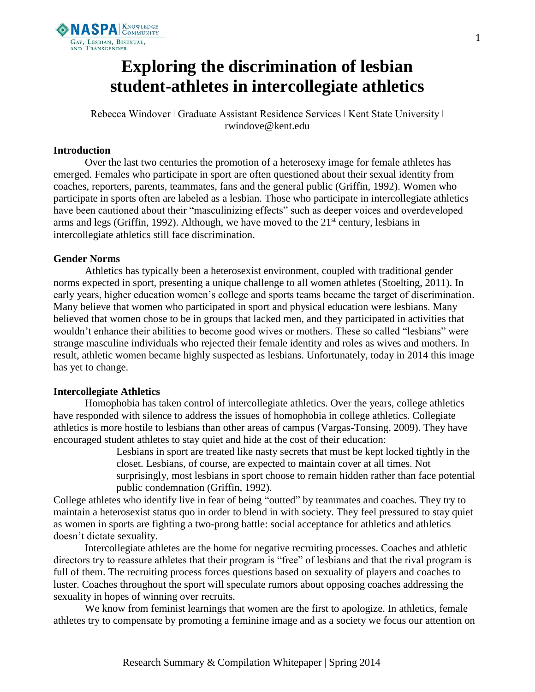

# **Exploring the discrimination of lesbian student-athletes in intercollegiate athletics**

Rebecca Windover | Graduate Assistant Residence Services | Kent State University | rwindove@kent.edu

#### **Introduction**

Over the last two centuries the promotion of a heterosexy image for female athletes has emerged. Females who participate in sport are often questioned about their sexual identity from coaches, reporters, parents, teammates, fans and the general public (Griffin, 1992). Women who participate in sports often are labeled as a lesbian. Those who participate in intercollegiate athletics have been cautioned about their "masculinizing effects" such as deeper voices and overdeveloped arms and legs (Griffin, 1992). Although, we have moved to the  $21<sup>st</sup>$  century, lesbians in intercollegiate athletics still face discrimination.

#### **Gender Norms**

Athletics has typically been a heterosexist environment, coupled with traditional gender norms expected in sport, presenting a unique challenge to all women athletes (Stoelting, 2011). In early years, higher education women's college and sports teams became the target of discrimination. Many believe that women who participated in sport and physical education were lesbians. Many believed that women chose to be in groups that lacked men, and they participated in activities that wouldn't enhance their abilities to become good wives or mothers. These so called "lesbians" were strange masculine individuals who rejected their female identity and roles as wives and mothers. In result, athletic women became highly suspected as lesbians. Unfortunately, today in 2014 this image has yet to change.

#### **Intercollegiate Athletics**

Homophobia has taken control of intercollegiate athletics. Over the years, college athletics have responded with silence to address the issues of homophobia in college athletics. Collegiate athletics is more hostile to lesbians than other areas of campus (Vargas-Tonsing, 2009). They have encouraged student athletes to stay quiet and hide at the cost of their education:

> Lesbians in sport are treated like nasty secrets that must be kept locked tightly in the closet. Lesbians, of course, are expected to maintain cover at all times. Not surprisingly, most lesbians in sport choose to remain hidden rather than face potential public condemnation (Griffin, 1992).

College athletes who identify live in fear of being "outted" by teammates and coaches. They try to maintain a heterosexist status quo in order to blend in with society. They feel pressured to stay quiet as women in sports are fighting a two-prong battle: social acceptance for athletics and athletics doesn't dictate sexuality.

Intercollegiate athletes are the home for negative recruiting processes. Coaches and athletic directors try to reassure athletes that their program is "free" of lesbians and that the rival program is full of them. The recruiting process forces questions based on sexuality of players and coaches to luster. Coaches throughout the sport will speculate rumors about opposing coaches addressing the sexuality in hopes of winning over recruits.

We know from feminist learnings that women are the first to apologize. In athletics, female athletes try to compensate by promoting a feminine image and as a society we focus our attention on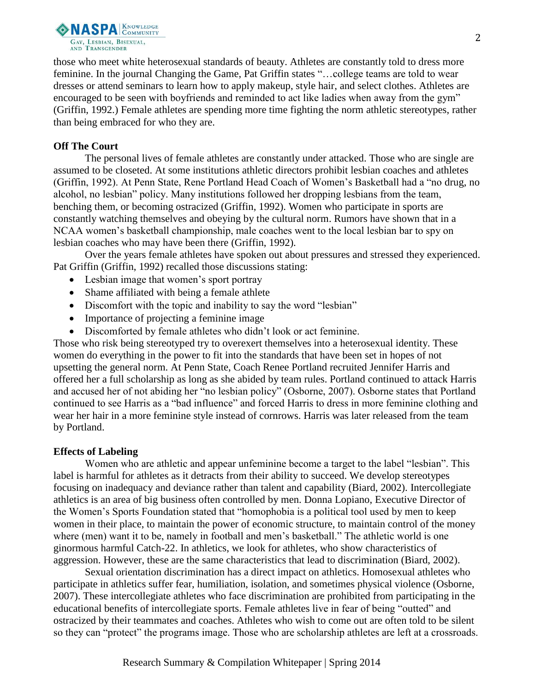

those who meet white heterosexual standards of beauty. Athletes are constantly told to dress more feminine. In the journal Changing the Game, Pat Griffin states "…college teams are told to wear dresses or attend seminars to learn how to apply makeup, style hair, and select clothes. Athletes are encouraged to be seen with boyfriends and reminded to act like ladies when away from the gym" (Griffin, 1992.) Female athletes are spending more time fighting the norm athletic stereotypes, rather than being embraced for who they are.

## **Off The Court**

The personal lives of female athletes are constantly under attacked. Those who are single are assumed to be closeted. At some institutions athletic directors prohibit lesbian coaches and athletes (Griffin, 1992). At Penn State, Rene Portland Head Coach of Women's Basketball had a "no drug, no alcohol, no lesbian" policy. Many institutions followed her dropping lesbians from the team, benching them, or becoming ostracized (Griffin, 1992). Women who participate in sports are constantly watching themselves and obeying by the cultural norm. Rumors have shown that in a NCAA women's basketball championship, male coaches went to the local lesbian bar to spy on lesbian coaches who may have been there (Griffin, 1992).

Over the years female athletes have spoken out about pressures and stressed they experienced. Pat Griffin (Griffin, 1992) recalled those discussions stating:

- Lesbian image that women's sport portray
- Shame affiliated with being a female athlete
- Discomfort with the topic and inability to say the word "lesbian"
- Importance of projecting a feminine image
- Discomforted by female athletes who didn't look or act feminine.

Those who risk being stereotyped try to overexert themselves into a heterosexual identity. These women do everything in the power to fit into the standards that have been set in hopes of not upsetting the general norm. At Penn State, Coach Renee Portland recruited Jennifer Harris and offered her a full scholarship as long as she abided by team rules. Portland continued to attack Harris and accused her of not abiding her "no lesbian policy" (Osborne, 2007). Osborne states that Portland continued to see Harris as a "bad influence" and forced Harris to dress in more feminine clothing and wear her hair in a more feminine style instead of cornrows. Harris was later released from the team by Portland.

# **Effects of Labeling**

Women who are athletic and appear unfeminine become a target to the label "lesbian". This label is harmful for athletes as it detracts from their ability to succeed. We develop stereotypes focusing on inadequacy and deviance rather than talent and capability (Biard, 2002). Intercollegiate athletics is an area of big business often controlled by men. Donna Lopiano, Executive Director of the Women's Sports Foundation stated that "homophobia is a political tool used by men to keep women in their place, to maintain the power of economic structure, to maintain control of the money where (men) want it to be, namely in football and men's basketball." The athletic world is one ginormous harmful Catch-22. In athletics, we look for athletes, who show characteristics of aggression. However, these are the same characteristics that lead to discrimination (Biard, 2002).

Sexual orientation discrimination has a direct impact on athletics. Homosexual athletes who participate in athletics suffer fear, humiliation, isolation, and sometimes physical violence (Osborne, 2007). These intercollegiate athletes who face discrimination are prohibited from participating in the educational benefits of intercollegiate sports. Female athletes live in fear of being "outted" and ostracized by their teammates and coaches. Athletes who wish to come out are often told to be silent so they can "protect" the programs image. Those who are scholarship athletes are left at a crossroads.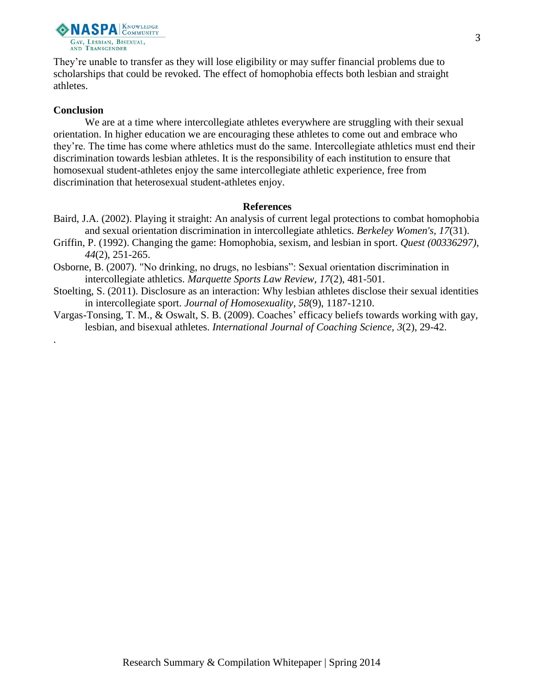

They're unable to transfer as they will lose eligibility or may suffer financial problems due to scholarships that could be revoked. The effect of homophobia effects both lesbian and straight athletes.

### **Conclusion**

.

We are at a time where intercollegiate athletes everywhere are struggling with their sexual orientation. In higher education we are encouraging these athletes to come out and embrace who they're. The time has come where athletics must do the same. Intercollegiate athletics must end their discrimination towards lesbian athletes. It is the responsibility of each institution to ensure that homosexual student-athletes enjoy the same intercollegiate athletic experience, free from discrimination that heterosexual student-athletes enjoy.

#### **References**

- Baird, J.A. (2002). Playing it straight: An analysis of current legal protections to combat homophobia and sexual orientation discrimination in intercollegiate athletics. *Berkeley Women's, 17*(31).
- Griffin, P. (1992). Changing the game: Homophobia, sexism, and lesbian in sport. *Quest (00336297)*, *44*(2), 251-265.
- Osborne, B. (2007). "No drinking, no drugs, no lesbians": Sexual orientation discrimination in intercollegiate athletics. *Marquette Sports Law Review*, *17*(2), 481-501.
- Stoelting, S. (2011). Disclosure as an interaction: Why lesbian athletes disclose their sexual identities in intercollegiate sport. *Journal of Homosexuality*, *58*(9), 1187-1210.
- Vargas-Tonsing, T. M., & Oswalt, S. B. (2009). Coaches' efficacy beliefs towards working with gay, lesbian, and bisexual athletes. *International Journal of Coaching Science*, *3*(2), 29-42.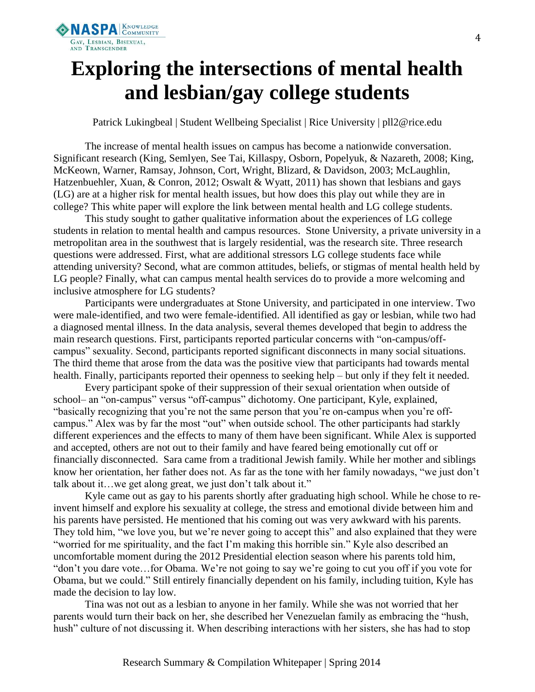

# **Exploring the intersections of mental health and lesbian/gay college students**

Patrick Lukingbeal | Student Wellbeing Specialist | Rice University | pll2@rice.edu

The increase of mental health issues on campus has become a nationwide conversation. Significant research (King, Semlyen, See Tai, Killaspy, Osborn, Popelyuk, & Nazareth, 2008; King, McKeown, Warner, Ramsay, Johnson, Cort, Wright, Blizard, & Davidson, 2003; McLaughlin, Hatzenbuehler, Xuan, & Conron, 2012; Oswalt & Wyatt, 2011) has shown that lesbians and gays (LG) are at a higher risk for mental health issues, but how does this play out while they are in college? This white paper will explore the link between mental health and LG college students.

This study sought to gather qualitative information about the experiences of LG college students in relation to mental health and campus resources. Stone University, a private university in a metropolitan area in the southwest that is largely residential, was the research site. Three research questions were addressed. First, what are additional stressors LG college students face while attending university? Second, what are common attitudes, beliefs, or stigmas of mental health held by LG people? Finally, what can campus mental health services do to provide a more welcoming and inclusive atmosphere for LG students?

Participants were undergraduates at Stone University, and participated in one interview. Two were male-identified, and two were female-identified. All identified as gay or lesbian, while two had a diagnosed mental illness. In the data analysis, several themes developed that begin to address the main research questions. First, participants reported particular concerns with "on-campus/offcampus" sexuality. Second, participants reported significant disconnects in many social situations. The third theme that arose from the data was the positive view that participants had towards mental health. Finally, participants reported their openness to seeking help – but only if they felt it needed.

Every participant spoke of their suppression of their sexual orientation when outside of school– an "on-campus" versus "off-campus" dichotomy. One participant, Kyle, explained, "basically recognizing that you're not the same person that you're on-campus when you're offcampus." Alex was by far the most "out" when outside school. The other participants had starkly different experiences and the effects to many of them have been significant. While Alex is supported and accepted, others are not out to their family and have feared being emotionally cut off or financially disconnected. Sara came from a traditional Jewish family. While her mother and siblings know her orientation, her father does not. As far as the tone with her family nowadays, "we just don't talk about it…we get along great, we just don't talk about it."

Kyle came out as gay to his parents shortly after graduating high school. While he chose to reinvent himself and explore his sexuality at college, the stress and emotional divide between him and his parents have persisted. He mentioned that his coming out was very awkward with his parents. They told him, "we love you, but we're never going to accept this" and also explained that they were "worried for me spirituality, and the fact I'm making this horrible sin." Kyle also described an uncomfortable moment during the 2012 Presidential election season where his parents told him, "don't you dare vote…for Obama. We're not going to say we're going to cut you off if you vote for Obama, but we could." Still entirely financially dependent on his family, including tuition, Kyle has made the decision to lay low.

Tina was not out as a lesbian to anyone in her family. While she was not worried that her parents would turn their back on her, she described her Venezuelan family as embracing the "hush, hush" culture of not discussing it. When describing interactions with her sisters, she has had to stop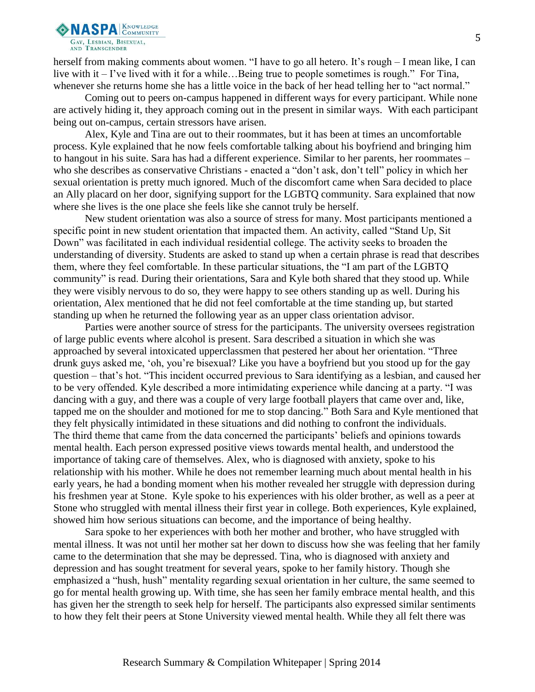

herself from making comments about women. "I have to go all hetero. It's rough – I mean like, I can live with it – I've lived with it for a while…Being true to people sometimes is rough." For Tina, whenever she returns home she has a little voice in the back of her head telling her to "act normal."

Coming out to peers on-campus happened in different ways for every participant. While none are actively hiding it, they approach coming out in the present in similar ways. With each participant being out on-campus, certain stressors have arisen.

Alex, Kyle and Tina are out to their roommates, but it has been at times an uncomfortable process. Kyle explained that he now feels comfortable talking about his boyfriend and bringing him to hangout in his suite. Sara has had a different experience. Similar to her parents, her roommates – who she describes as conservative Christians - enacted a "don't ask, don't tell" policy in which her sexual orientation is pretty much ignored. Much of the discomfort came when Sara decided to place an Ally placard on her door, signifying support for the LGBTQ community. Sara explained that now where she lives is the one place she feels like she cannot truly be herself.

New student orientation was also a source of stress for many. Most participants mentioned a specific point in new student orientation that impacted them. An activity, called "Stand Up, Sit Down" was facilitated in each individual residential college. The activity seeks to broaden the understanding of diversity. Students are asked to stand up when a certain phrase is read that describes them, where they feel comfortable. In these particular situations, the "I am part of the LGBTQ community" is read. During their orientations, Sara and Kyle both shared that they stood up. While they were visibly nervous to do so, they were happy to see others standing up as well. During his orientation, Alex mentioned that he did not feel comfortable at the time standing up, but started standing up when he returned the following year as an upper class orientation advisor.

Parties were another source of stress for the participants. The university oversees registration of large public events where alcohol is present. Sara described a situation in which she was approached by several intoxicated upperclassmen that pestered her about her orientation. "Three drunk guys asked me, 'oh, you're bisexual? Like you have a boyfriend but you stood up for the gay question – that's hot. "This incident occurred previous to Sara identifying as a lesbian, and caused her to be very offended. Kyle described a more intimidating experience while dancing at a party. "I was dancing with a guy, and there was a couple of very large football players that came over and, like, tapped me on the shoulder and motioned for me to stop dancing." Both Sara and Kyle mentioned that they felt physically intimidated in these situations and did nothing to confront the individuals. The third theme that came from the data concerned the participants' beliefs and opinions towards mental health. Each person expressed positive views towards mental health, and understood the importance of taking care of themselves. Alex, who is diagnosed with anxiety, spoke to his relationship with his mother. While he does not remember learning much about mental health in his early years, he had a bonding moment when his mother revealed her struggle with depression during his freshmen year at Stone. Kyle spoke to his experiences with his older brother, as well as a peer at Stone who struggled with mental illness their first year in college. Both experiences, Kyle explained, showed him how serious situations can become, and the importance of being healthy.

Sara spoke to her experiences with both her mother and brother, who have struggled with mental illness. It was not until her mother sat her down to discuss how she was feeling that her family came to the determination that she may be depressed. Tina, who is diagnosed with anxiety and depression and has sought treatment for several years, spoke to her family history. Though she emphasized a "hush, hush" mentality regarding sexual orientation in her culture, the same seemed to go for mental health growing up. With time, she has seen her family embrace mental health, and this has given her the strength to seek help for herself. The participants also expressed similar sentiments to how they felt their peers at Stone University viewed mental health. While they all felt there was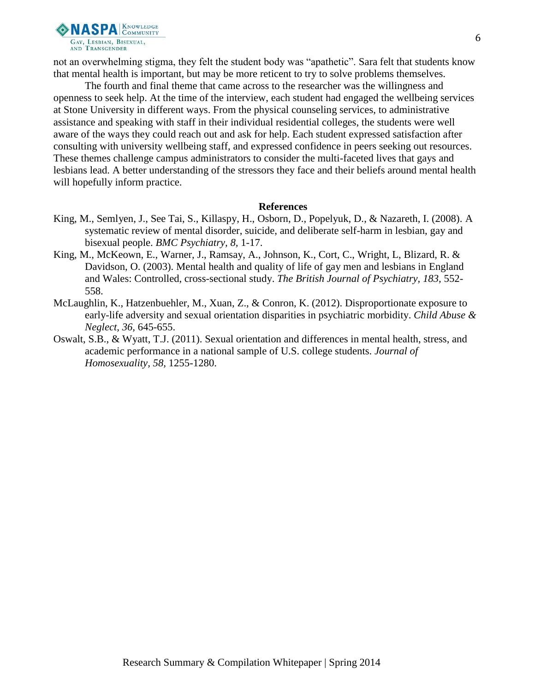

not an overwhelming stigma, they felt the student body was "apathetic". Sara felt that students know that mental health is important, but may be more reticent to try to solve problems themselves.

The fourth and final theme that came across to the researcher was the willingness and openness to seek help. At the time of the interview, each student had engaged the wellbeing services at Stone University in different ways. From the physical counseling services, to administrative assistance and speaking with staff in their individual residential colleges, the students were well aware of the ways they could reach out and ask for help. Each student expressed satisfaction after consulting with university wellbeing staff, and expressed confidence in peers seeking out resources. These themes challenge campus administrators to consider the multi-faceted lives that gays and lesbians lead. A better understanding of the stressors they face and their beliefs around mental health will hopefully inform practice.

#### **References**

- King, M., Semlyen, J., See Tai, S., Killaspy, H., Osborn, D., Popelyuk, D., & Nazareth, I. (2008). A systematic review of mental disorder, suicide, and deliberate self-harm in lesbian, gay and bisexual people. *BMC Psychiatry, 8,* 1-17.
- King, M., McKeown, E., Warner, J., Ramsay, A., Johnson, K., Cort, C., Wright, L, Blizard, R. & Davidson, O. (2003). Mental health and quality of life of gay men and lesbians in England and Wales: Controlled, cross-sectional study. *The British Journal of Psychiatry, 183,* 552- 558.
- McLaughlin, K., Hatzenbuehler, M., Xuan, Z., & Conron, K. (2012). Disproportionate exposure to early-life adversity and sexual orientation disparities in psychiatric morbidity. *Child Abuse & Neglect, 36,* 645-655.
- Oswalt, S.B., & Wyatt, T.J. (2011). Sexual orientation and differences in mental health, stress, and academic performance in a national sample of U.S. college students. *Journal of Homosexuality, 58,* 1255-1280.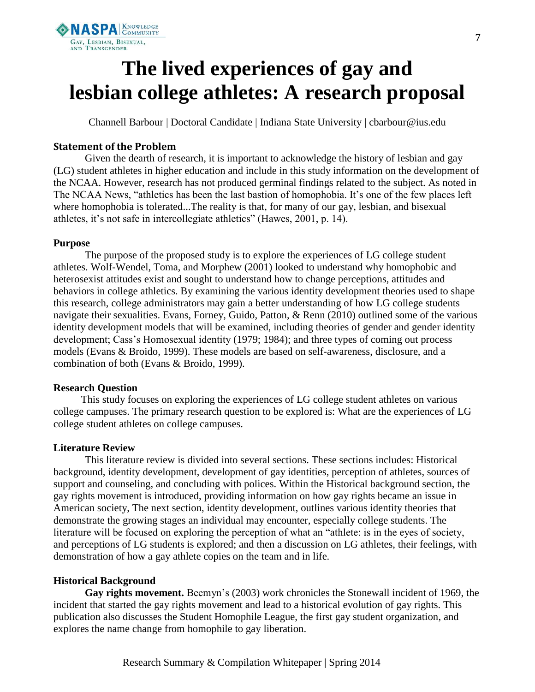

# **The lived experiences of gay and lesbian college athletes: A research proposal**

Channell Barbour | Doctoral Candidate | Indiana State University | cbarbour@ius.edu

# **Statement of the Problem**

Given the dearth of research, it is important to acknowledge the history of lesbian and gay (LG) student athletes in higher education and include in this study information on the development of the NCAA. However, research has not produced germinal findings related to the subject. As noted in The NCAA News, "athletics has been the last bastion of homophobia. It's one of the few places left where homophobia is tolerated...The reality is that, for many of our gay, lesbian, and bisexual athletes, it's not safe in intercollegiate athletics" (Hawes, 2001, p. 14).

# **Purpose**

The purpose of the proposed study is to explore the experiences of LG college student athletes. Wolf-Wendel, Toma, and Morphew (2001) looked to understand why homophobic and heterosexist attitudes exist and sought to understand how to change perceptions, attitudes and behaviors in college athletics. By examining the various identity development theories used to shape this research, college administrators may gain a better understanding of how LG college students navigate their sexualities. Evans, Forney, Guido, Patton, & Renn (2010) outlined some of the various identity development models that will be examined, including theories of gender and gender identity development; Cass's Homosexual identity (1979; 1984); and three types of coming out process models (Evans & Broido, 1999). These models are based on self-awareness, disclosure, and a combination of both (Evans & Broido, 1999).

# **Research Question**

This study focuses on exploring the experiences of LG college student athletes on various college campuses. The primary research question to be explored is: What are the experiences of LG college student athletes on college campuses.

# **Literature Review**

This literature review is divided into several sections. These sections includes: Historical background, identity development, development of gay identities, perception of athletes, sources of support and counseling, and concluding with polices. Within the Historical background section, the gay rights movement is introduced, providing information on how gay rights became an issue in American society, The next section, identity development, outlines various identity theories that demonstrate the growing stages an individual may encounter, especially college students. The literature will be focused on exploring the perception of what an "athlete: is in the eyes of society, and perceptions of LG students is explored; and then a discussion on LG athletes, their feelings, with demonstration of how a gay athlete copies on the team and in life.

# **Historical Background**

**Gay rights movement.** Beemyn's (2003) work chronicles the Stonewall incident of 1969, the incident that started the gay rights movement and lead to a historical evolution of gay rights. This publication also discusses the Student Homophile League, the first gay student organization, and explores the name change from homophile to gay liberation.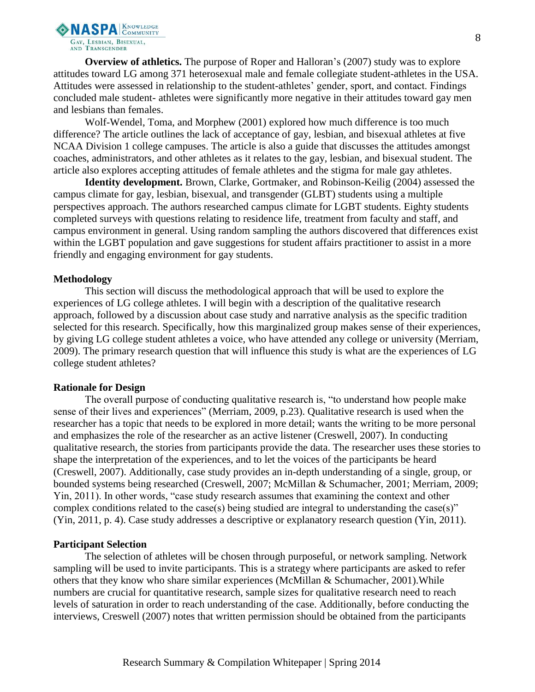

**Overview of athletics.** The purpose of Roper and Halloran's (2007) study was to explore attitudes toward LG among 371 heterosexual male and female collegiate student-athletes in the USA. Attitudes were assessed in relationship to the student-athletes' gender, sport, and contact. Findings concluded male student- athletes were significantly more negative in their attitudes toward gay men and lesbians than females.

Wolf-Wendel, Toma, and Morphew (2001) explored how much difference is too much difference? The article outlines the lack of acceptance of gay, lesbian, and bisexual athletes at five NCAA Division 1 college campuses. The article is also a guide that discusses the attitudes amongst coaches, administrators, and other athletes as it relates to the gay, lesbian, and bisexual student. The article also explores accepting attitudes of female athletes and the stigma for male gay athletes.

**Identity development.** Brown, Clarke, Gortmaker, and Robinson-Keilig (2004) assessed the campus climate for gay, lesbian, bisexual, and transgender (GLBT) students using a multiple perspectives approach. The authors researched campus climate for LGBT students. Eighty students completed surveys with questions relating to residence life, treatment from faculty and staff, and campus environment in general. Using random sampling the authors discovered that differences exist within the LGBT population and gave suggestions for student affairs practitioner to assist in a more friendly and engaging environment for gay students.

#### **Methodology**

This section will discuss the methodological approach that will be used to explore the experiences of LG college athletes. I will begin with a description of the qualitative research approach, followed by a discussion about case study and narrative analysis as the specific tradition selected for this research. Specifically, how this marginalized group makes sense of their experiences, by giving LG college student athletes a voice, who have attended any college or university (Merriam, 2009). The primary research question that will influence this study is what are the experiences of LG college student athletes?

#### **Rationale for Design**

The overall purpose of conducting qualitative research is, "to understand how people make sense of their lives and experiences" (Merriam, 2009, p.23). Qualitative research is used when the researcher has a topic that needs to be explored in more detail; wants the writing to be more personal and emphasizes the role of the researcher as an active listener (Creswell, 2007). In conducting qualitative research, the stories from participants provide the data. The researcher uses these stories to shape the interpretation of the experiences, and to let the voices of the participants be heard (Creswell, 2007). Additionally, case study provides an in-depth understanding of a single, group, or bounded systems being researched (Creswell, 2007; McMillan & Schumacher, 2001; Merriam, 2009; Yin, 2011). In other words, "case study research assumes that examining the context and other complex conditions related to the case(s) being studied are integral to understanding the case(s)" (Yin, 2011, p. 4). Case study addresses a descriptive or explanatory research question (Yin, 2011).

#### **Participant Selection**

The selection of athletes will be chosen through purposeful, or network sampling. Network sampling will be used to invite participants. This is a strategy where participants are asked to refer others that they know who share similar experiences (McMillan & Schumacher, 2001).While numbers are crucial for quantitative research, sample sizes for qualitative research need to reach levels of saturation in order to reach understanding of the case. Additionally, before conducting the interviews, Creswell (2007) notes that written permission should be obtained from the participants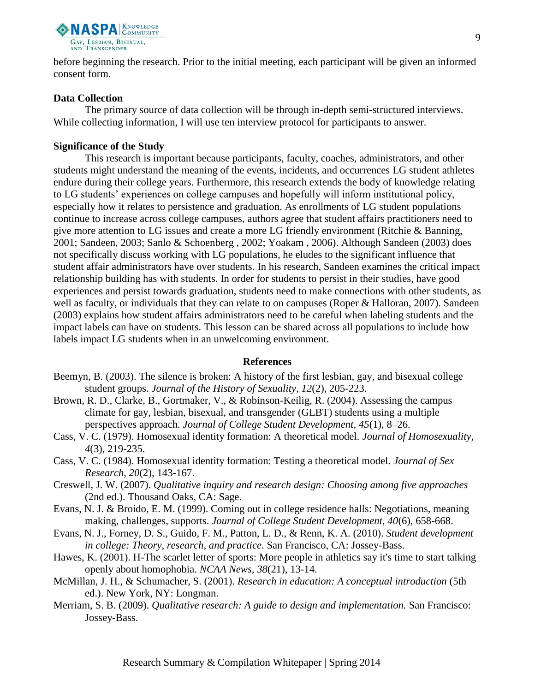

before beginning the research. Prior to the initial meeting, each participant will be given an informed consent form.

## **Data Collection**

The primary source of data collection will be through in-depth semi-structured interviews. While collecting information, I will use ten interview protocol for participants to answer.

### **Significance of the Study**

This research is important because participants, faculty, coaches, administrators, and other students might understand the meaning of the events, incidents, and occurrences LG student athletes endure during their college years. Furthermore, this research extends the body of knowledge relating to LG students' experiences on college campuses and hopefully will inform institutional policy, especially how it relates to persistence and graduation. As enrollments of LG student populations continue to increase across college campuses, authors agree that student affairs practitioners need to give more attention to LG issues and create a more LG friendly environment (Ritchie & Banning, 2001; Sandeen, 2003; Sanlo & Schoenberg , 2002; Yoakam , 2006). Although Sandeen (2003) does not specifically discuss working with LG populations, he eludes to the significant influence that student affair administrators have over students. In his research, Sandeen examines the critical impact relationship building has with students. In order for students to persist in their studies, have good experiences and persist towards graduation, students need to make connections with other students, as well as faculty, or individuals that they can relate to on campuses (Roper & Halloran, 2007). Sandeen (2003) explains how student affairs administrators need to be careful when labeling students and the impact labels can have on students. This lesson can be shared across all populations to include how labels impact LG students when in an unwelcoming environment.

#### **References**

- Beemyn, B. (2003). The silence is broken: A history of the first lesbian, gay, and bisexual college student groups. *Journal of the History of Sexuality, 12*(2), 205-223.
- Brown, R. D., Clarke, B., Gortmaker, V., & Robinson-Keilig, R. (2004). Assessing the campus climate for gay, lesbian, bisexual, and transgender (GLBT) students using a multiple perspectives approach. *Journal of College Student Development, 45*(1), 8–26.
- Cass, V. C. (1979). Homosexual identity formation: A theoretical model. *Journal of Homosexuality, 4*(3), 219-235.
- Cass, V. C. (1984). Homosexual identity formation: Testing a theoretical model. *Journal of Sex Research, 20*(2), 143-167.
- Creswell, J. W. (2007). *Qualitative inquiry and research design: Choosing among five approaches* (2nd ed.). Thousand Oaks, CA: Sage.
- Evans, N. J. & Broido, E. M. (1999). Coming out in college residence halls: Negotiations, meaning making, challenges, supports. *Journal of College Student Development, 40*(6), 658-668.
- Evans, N. J., Forney, D. S., Guido, F. M., Patton, L. D., & Renn, K. A. (2010). *Student development in college: Theory, research, and practice.* San Francisco, CA: Jossey-Bass.
- Hawes, K. (2001). H-The scarlet letter of sports: More people in athletics say it's time to start talking openly about homophobia. *NCAA News, 38*(21), 13-14.
- McMillan, J. H., & Schumacher, S. (2001). *Research in education: A conceptual introduction* (5th ed.). New York, NY: Longman.
- Merriam, S. B. (2009). *Qualitative research: A guide to design and implementation.* San Francisco: Jossey-Bass.